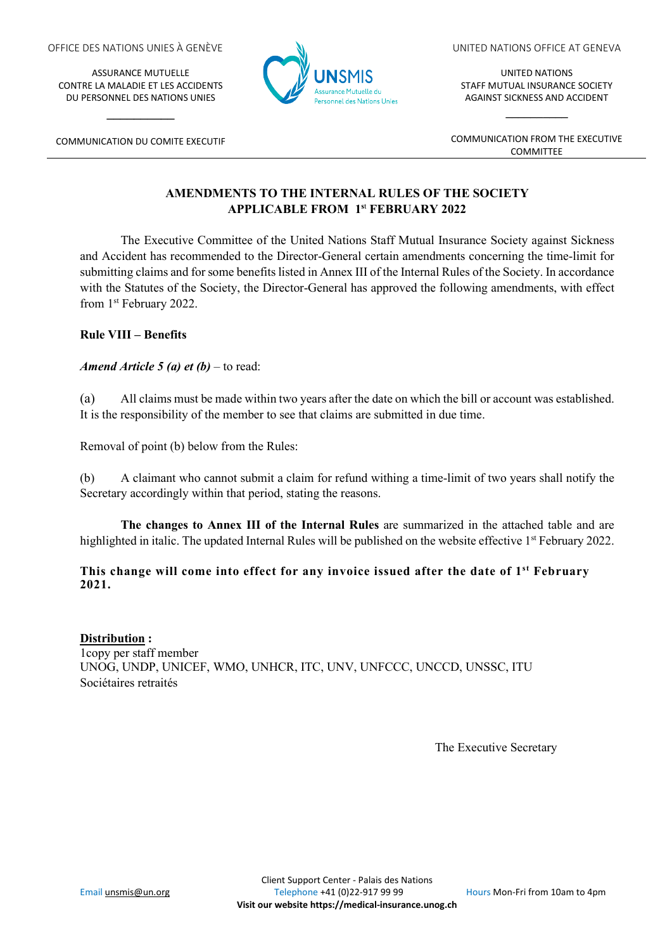ASSURANCE MUTUELLE CONTRE LA MALADIE ET LES ACCIDENTS DU PERSONNEL DES NATIONS UNIES



**\_\_\_\_\_\_\_\_\_\_**



UNITED NATIONS OFFICE AT GENEVA

UNITED NATIONS STAFF MUTUAL INSURANCE SOCIETY AGAINST SICKNESS AND ACCIDENT

**\_\_\_\_\_\_\_\_\_\_**

COMMUNICATION FROM THE EXECUTIVE COMMITTEE

# **AMENDMENTS TO THE INTERNAL RULES OF THE SOCIETY APPLICABLE FROM 1s**<sup>t</sup> **FEBRUARY 2022**

The Executive Committee of the United Nations Staff Mutual Insurance Society against Sickness and Accident has recommended to the Director-General certain amendments concerning the time-limit for submitting claims and for some benefits listed in Annex III of the Internal Rules of the Society. In accordance with the Statutes of the Society, the Director-General has approved the following amendments, with effect from 1st February 2022.

## **Rule VIII – Benefits**

### *Amend Article 5 (a) et (b)* – to read:

(a) All claims must be made within two years after the date on which the bill or account was established. It is the responsibility of the member to see that claims are submitted in due time.

Removal of point (b) below from the Rules:

(b) A claimant who cannot submit a claim for refund withing a time-limit of two years shall notify the Secretary accordingly within that period, stating the reasons.

**The changes to Annex III of the Internal Rules** are summarized in the attached table and are highlighted in italic. The updated Internal Rules will be published on the website effective 1<sup>st</sup> February 2022.

### **This change will come into effect for any invoice issued after the date of 1st February 2021.**

**Distribution :** 1copy per staff member UNOG, UNDP, UNICEF, WMO, UNHCR, ITC, UNV, UNFCCC, UNCCD, UNSSC, ITU Sociétaires retraités

The Executive Secretary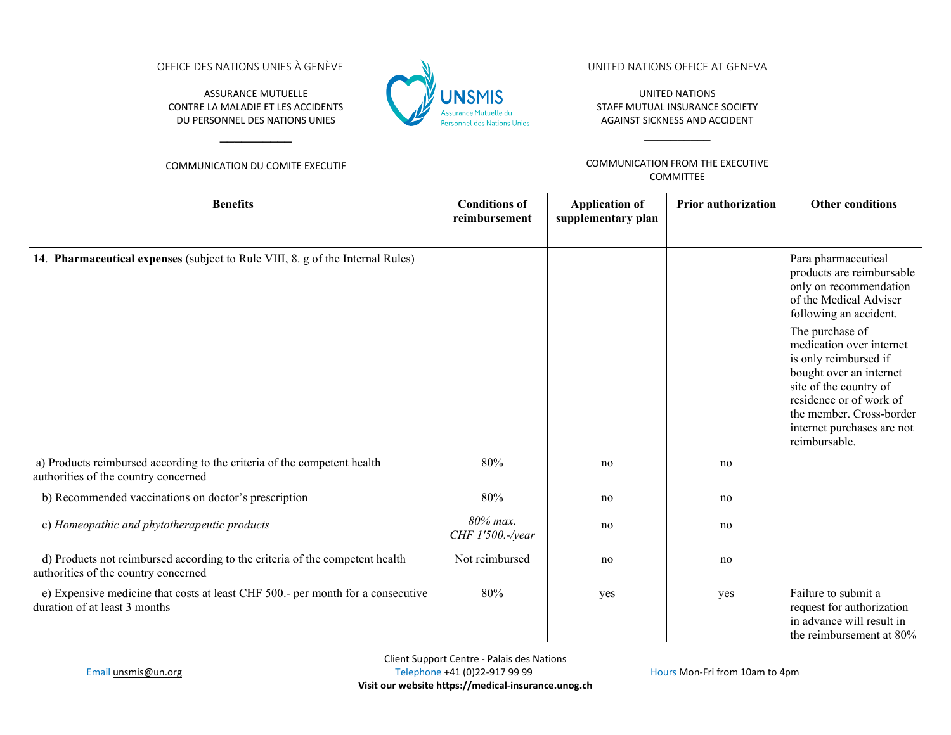OFFICE DES NATIONS UNIES À GENÈVE

ASSURANCE MUTUELLE CONTRE LA MALADIE ET LES ACCIDENTS DU PERSONNEL DES NATIONS UNIES



#### UNITED NATIONS OFFICE AT GENEVA

UNITED NATIONS STAFF MUTUAL INSURANCE SOCIETY AGAINST SICKNESS AND ACCIDENT

**\_\_\_\_\_\_\_\_\_\_**

COMMUNICATION DU COMITE EXECUTIF

**\_\_\_\_\_\_\_\_\_\_**

COMMUNICATION FROM THE EXECUTIVE COMMITTEE

| <b>Benefits</b>                                                                                                      | <b>Conditions of</b><br>reimbursement | <b>Application of</b><br>supplementary plan | <b>Prior authorization</b> | <b>Other conditions</b>                                                                                                                                                                                                         |
|----------------------------------------------------------------------------------------------------------------------|---------------------------------------|---------------------------------------------|----------------------------|---------------------------------------------------------------------------------------------------------------------------------------------------------------------------------------------------------------------------------|
|                                                                                                                      |                                       |                                             |                            |                                                                                                                                                                                                                                 |
| 14. Pharmaceutical expenses (subject to Rule VIII, 8. g of the Internal Rules)                                       |                                       |                                             |                            | Para pharmaceutical<br>products are reimbursable<br>only on recommendation<br>of the Medical Adviser<br>following an accident.                                                                                                  |
|                                                                                                                      |                                       |                                             |                            | The purchase of<br>medication over internet<br>is only reimbursed if<br>bought over an internet<br>site of the country of<br>residence or of work of<br>the member. Cross-border<br>internet purchases are not<br>reimbursable. |
| a) Products reimbursed according to the criteria of the competent health<br>authorities of the country concerned     | 80%                                   | no                                          | no                         |                                                                                                                                                                                                                                 |
| b) Recommended vaccinations on doctor's prescription                                                                 | 80%                                   | no                                          | no                         |                                                                                                                                                                                                                                 |
| c) Homeopathic and phytotherapeutic products                                                                         | 80% max.<br>CHF 1'500.-/year          | no                                          | no                         |                                                                                                                                                                                                                                 |
| d) Products not reimbursed according to the criteria of the competent health<br>authorities of the country concerned | Not reimbursed                        | no                                          | no                         |                                                                                                                                                                                                                                 |
| e) Expensive medicine that costs at least CHF 500.- per month for a consecutive<br>duration of at least 3 months     | 80%                                   | yes                                         | yes                        | Failure to submit a<br>request for authorization<br>in advance will result in<br>the reimbursement at 80%                                                                                                                       |